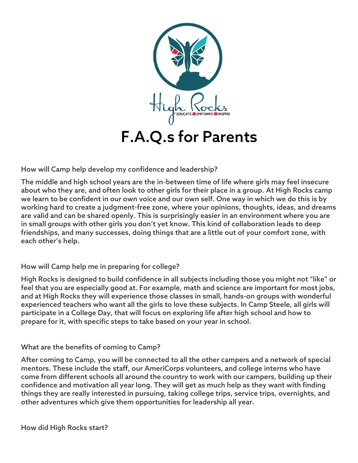

How will Camp help develop my confidence and leadership?

The middle and high school years are the in-between time of life where girls may feel insecure about who they are, and often look to other girls for their place in a group. At High Rocks camp we learn to be confident in our own voice and our own self. One way in which we do this is by working hard to create a judgment-free zone, where your opinions, thoughts, ideas, and dreams are valid and can be shared openly. This is surprisingly easier in an environment where you are in small groups with other girls you don't yet know. This kind of collaboration leads to deep friendships, and many successes, doing things that are a little out of your comfort zone, with each other's help.

How will Camp help me in preparing for college?

High Rocks is designed to build confidence in all subjects including those you might not "like" or feel that you are especially good at. For example, math and science are important for most jobs, and at High Rocks they will experience those classes in small, hands-on groups with wonderful experienced teachers who want all the girls to love these subjects. In Camp Steele, all girls will participate in a College Day, that will focus on exploring life after high school and how to prepare for it, with specific steps to take based on your year in school.

### What are the benefits of coming to Camp?

After coming to Camp, you will be connected to all the other campers and a network of special mentors. These include the staff, our AmeriCorps volunteers, and college interns who have come from different schools all around the country to work with our campers, building up their confidence and motivation all year long. They will get as much help as they want with finding things they are really interested in pursuing, taking college trips, service trips, overnights, and other adventures which give them opportunities for leadership all year.

How did High Rocks start?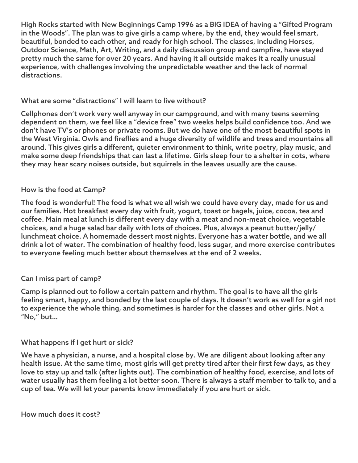High Rocks started with New Beginnings Camp 1996 as a BIG IDEA of having a "Gifted Program in the Woods". The plan was to give girls a camp where, by the end, they would feel smart, beautiful, bonded to each other, and ready for high school. The classes, including Horses, Outdoor Science, Math, Art, Writing, and a daily discussion group and campfire, have stayed pretty much the same for over 20 years. And having it all outside makes it a really unusual experience, with challenges involving the unpredictable weather and the lack of normal distractions.

## What are some "distractions" I will learn to live without?

Cellphones don't work very well anyway in our campground, and with many teens seeming dependent on them, we feel like a "device free" two weeks helps build confidence too. And we don't have TV's or phones or private rooms. But we do have one of the most beautiful spots in the West Virginia. Owls and fireflies and a huge diversity of wildlife and trees and mountains all around. This gives girls a different, quieter environment to think, write poetry, play music, and make some deep friendships that can last a lifetime. Girls sleep four to a shelter in cots, where they may hear scary noises outside, but squirrels in the leaves usually are the cause.

# How is the food at Camp?

The food is wonderful! The food is what we all wish we could have every day, made for us and our families. Hot breakfast every day with fruit, yogurt, toast or bagels, juice, cocoa, tea and coffee. Main meal at lunch is different every day with a meat and non-meat choice, vegetable choices, and a huge salad bar daily with lots of choices. Plus, always a peanut butter/jelly/ lunchmeat choice. A homemade dessert most nights. Everyone has a water bottle, and we all drink a lot of water. The combination of healthy food, less sugar, and more exercise contributes to everyone feeling much better about themselves at the end of 2 weeks.

# Can I miss part of camp?

Camp is planned out to follow a certain pattern and rhythm. The goal is to have all the girls feeling smart, happy, and bonded by the last couple of days. It doesn't work as well for a girl not to experience the whole thing, and sometimes is harder for the classes and other girls. Not a "No," but…

### What happens if I get hurt or sick?

We have a physician, a nurse, and a hospital close by. We are diligent about looking after any health issue. At the same time, most girls will get pretty tired after their first few days, as they love to stay up and talk (after lights out). The combination of healthy food, exercise, and lots of water usually has them feeling a lot better soon. There is always a staff member to talk to, and a cup of tea. We will let your parents know immediately if you are hurt or sick.

#### How much does it cost?